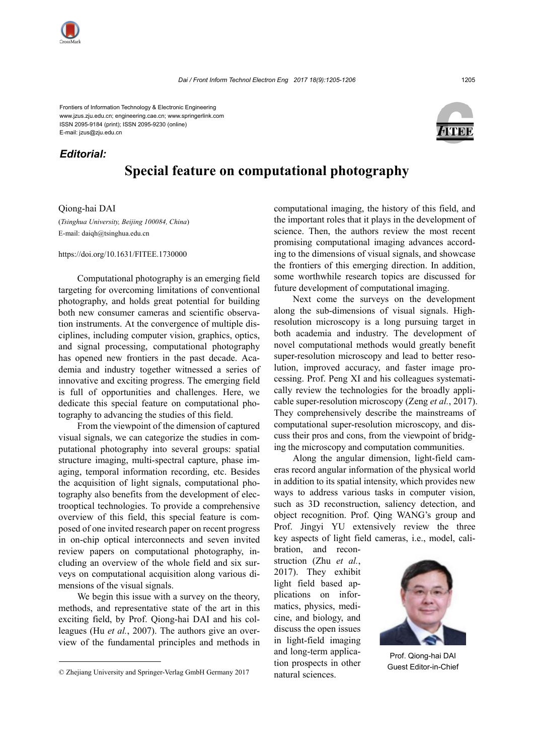Frontiers of Information Technology & Electronic Engineering www.jzus.zju.edu.cn; engineering.cae.cn; www.springerlink.com ISSN 2095-9184 (print); ISSN 2095-9230 (online) E-mail: jzus@zju.edu.cn

## *Editorial:*

## **Special feature on computational photography**

Qiong-hai DAI

(*Tsinghua University, Beijing 100084, China*) E-mail: daiqh@tsinghua.edu.cn

https://doi.org/10.1631/FITEE.1730000

Computational photography is an emerging field targeting for overcoming limitations of conventional photography, and holds great potential for building both new consumer cameras and scientific observation instruments. At the convergence of multiple disciplines, including computer vision, graphics, optics, and signal processing, computational photography has opened new frontiers in the past decade. Academia and industry together witnessed a series of innovative and exciting progress. The emerging field is full of opportunities and challenges. Here, we dedicate this special feature on computational photography to advancing the studies of this field.

From the viewpoint of the dimension of captured visual signals, we can categorize the studies in computational photography into several groups: spatial structure imaging, multi-spectral capture, phase imaging, temporal information recording, etc. Besides the acquisition of light signals, computational photography also benefits from the development of electrooptical technologies. To provide a comprehensive overview of this field, this special feature is composed of one invited research paper on recent progress in on-chip optical interconnects and seven invited review papers on computational photography, including an overview of the whole field and six surveys on computational acquisition along various dimensions of the visual signals.

We begin this issue with a survey on the theory, methods, and representative state of the art in this exciting field, by Prof. Qiong-hai DAI and his colleagues (Hu *et al.*, 2007). The authors give an overview of the fundamental principles and methods in computational imaging, the history of this field, and the important roles that it plays in the development of science. Then, the authors review the most recent promising computational imaging advances according to the dimensions of visual signals, and showcase the frontiers of this emerging direction. In addition, some worthwhile research topics are discussed for future development of computational imaging.

Next come the surveys on the development along the sub-dimensions of visual signals. Highresolution microscopy is a long pursuing target in both academia and industry. The development of novel computational methods would greatly benefit super-resolution microscopy and lead to better resolution, improved accuracy, and faster image processing. Prof. Peng XI and his colleagues systematically review the technologies for the broadly applicable super-resolution microscopy (Zeng *et al.*, 2017). They comprehensively describe the mainstreams of computational super-resolution microscopy, and discuss their pros and cons, from the viewpoint of bridging the microscopy and computation communities.

Along the angular dimension, light-field cameras record angular information of the physical world in addition to its spatial intensity, which provides new ways to address various tasks in computer vision, such as 3D reconstruction, saliency detection, and object recognition. Prof. Qing WANG's group and Prof. Jingyi YU extensively review the three key aspects of light field cameras, i.e., model, cali-

bration, and reconstruction (Zhu *et al.*, 2017). They exhibit light field based applications on informatics, physics, medicine, and biology, and discuss the open issues in light-field imaging and long-term application prospects in other natural sciences.

Prof. Qiong-hai DAI







Cupside Chief Chief Chief Chief Chief Chief Chief Chief Chief Chief Chief Chief Chief Chief Chief Chief Chief<br>matural sciences